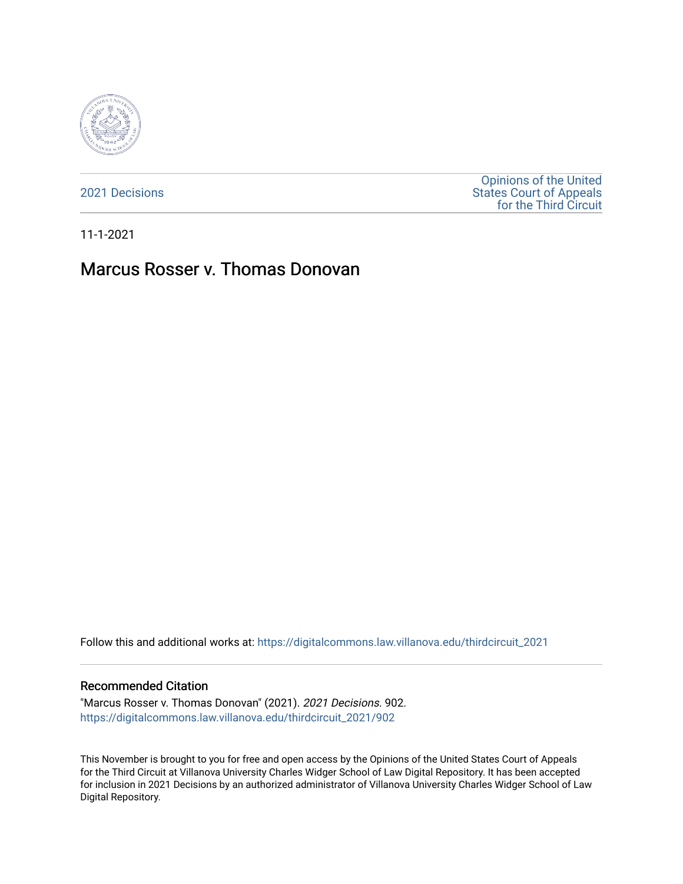

[2021 Decisions](https://digitalcommons.law.villanova.edu/thirdcircuit_2021)

[Opinions of the United](https://digitalcommons.law.villanova.edu/thirdcircuit)  [States Court of Appeals](https://digitalcommons.law.villanova.edu/thirdcircuit)  [for the Third Circuit](https://digitalcommons.law.villanova.edu/thirdcircuit) 

11-1-2021

# Marcus Rosser v. Thomas Donovan

Follow this and additional works at: [https://digitalcommons.law.villanova.edu/thirdcircuit\\_2021](https://digitalcommons.law.villanova.edu/thirdcircuit_2021?utm_source=digitalcommons.law.villanova.edu%2Fthirdcircuit_2021%2F902&utm_medium=PDF&utm_campaign=PDFCoverPages) 

#### Recommended Citation

"Marcus Rosser v. Thomas Donovan" (2021). 2021 Decisions. 902. [https://digitalcommons.law.villanova.edu/thirdcircuit\\_2021/902](https://digitalcommons.law.villanova.edu/thirdcircuit_2021/902?utm_source=digitalcommons.law.villanova.edu%2Fthirdcircuit_2021%2F902&utm_medium=PDF&utm_campaign=PDFCoverPages)

This November is brought to you for free and open access by the Opinions of the United States Court of Appeals for the Third Circuit at Villanova University Charles Widger School of Law Digital Repository. It has been accepted for inclusion in 2021 Decisions by an authorized administrator of Villanova University Charles Widger School of Law Digital Repository.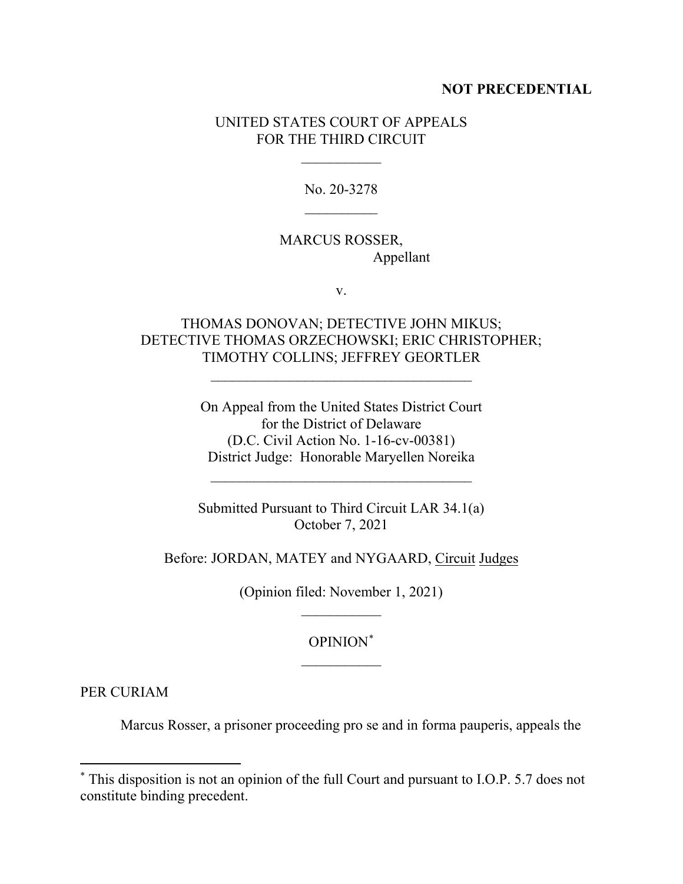### **NOT PRECEDENTIAL**

### UNITED STATES COURT OF APPEALS FOR THE THIRD CIRCUIT

 $\frac{1}{2}$ 

No. 20-3278  $\frac{1}{2}$ 

# MARCUS ROSSER, Appellant

v.

# THOMAS DONOVAN; DETECTIVE JOHN MIKUS; DETECTIVE THOMAS ORZECHOWSKI; ERIC CHRISTOPHER; TIMOTHY COLLINS; JEFFREY GEORTLER

\_\_\_\_\_\_\_\_\_\_\_\_\_\_\_\_\_\_\_\_\_\_\_\_\_\_\_\_\_\_\_\_\_\_\_\_

On Appeal from the United States District Court for the District of Delaware (D.C. Civil Action No. 1-16-cv-00381) District Judge: Honorable Maryellen Noreika

 $\mathcal{L}_\text{max}$  , where  $\mathcal{L}_\text{max}$  and  $\mathcal{L}_\text{max}$  and  $\mathcal{L}_\text{max}$ 

Submitted Pursuant to Third Circuit LAR 34.1(a) October 7, 2021

Before: JORDAN, MATEY and NYGAARD, Circuit Judges

(Opinion filed: November 1, 2021)  $\overline{\phantom{a}}$ 

# OPINION\*  $\frac{1}{2}$

PER CURIAM

Marcus Rosser, a prisoner proceeding pro se and in forma pauperis, appeals the

<sup>\*</sup> This disposition is not an opinion of the full Court and pursuant to I.O.P. 5.7 does not constitute binding precedent.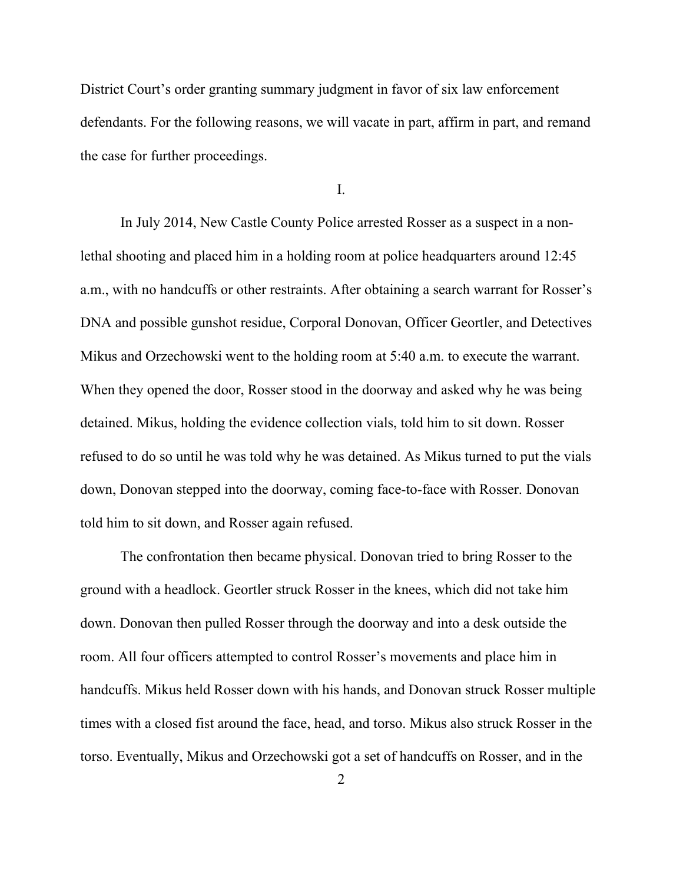District Court's order granting summary judgment in favor of six law enforcement defendants. For the following reasons, we will vacate in part, affirm in part, and remand the case for further proceedings.

I.

In July 2014, New Castle County Police arrested Rosser as a suspect in a nonlethal shooting and placed him in a holding room at police headquarters around 12:45 a.m., with no handcuffs or other restraints. After obtaining a search warrant for Rosser's DNA and possible gunshot residue, Corporal Donovan, Officer Geortler, and Detectives Mikus and Orzechowski went to the holding room at 5:40 a.m. to execute the warrant. When they opened the door, Rosser stood in the doorway and asked why he was being detained. Mikus, holding the evidence collection vials, told him to sit down. Rosser refused to do so until he was told why he was detained. As Mikus turned to put the vials down, Donovan stepped into the doorway, coming face-to-face with Rosser. Donovan told him to sit down, and Rosser again refused.

The confrontation then became physical. Donovan tried to bring Rosser to the ground with a headlock. Geortler struck Rosser in the knees, which did not take him down. Donovan then pulled Rosser through the doorway and into a desk outside the room. All four officers attempted to control Rosser's movements and place him in handcuffs. Mikus held Rosser down with his hands, and Donovan struck Rosser multiple times with a closed fist around the face, head, and torso. Mikus also struck Rosser in the torso. Eventually, Mikus and Orzechowski got a set of handcuffs on Rosser, and in the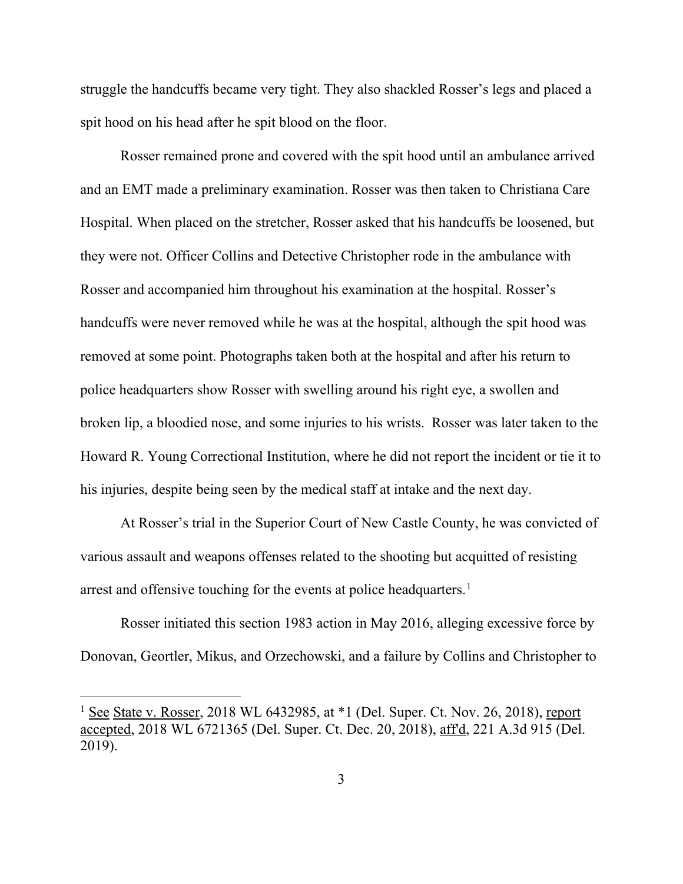struggle the handcuffs became very tight. They also shackled Rosser's legs and placed a spit hood on his head after he spit blood on the floor.

Rosser remained prone and covered with the spit hood until an ambulance arrived and an EMT made a preliminary examination. Rosser was then taken to Christiana Care Hospital. When placed on the stretcher, Rosser asked that his handcuffs be loosened, but they were not. Officer Collins and Detective Christopher rode in the ambulance with Rosser and accompanied him throughout his examination at the hospital. Rosser's handcuffs were never removed while he was at the hospital, although the spit hood was removed at some point. Photographs taken both at the hospital and after his return to police headquarters show Rosser with swelling around his right eye, a swollen and broken lip, a bloodied nose, and some injuries to his wrists. Rosser was later taken to the Howard R. Young Correctional Institution, where he did not report the incident or tie it to his injuries, despite being seen by the medical staff at intake and the next day.

At Rosser's trial in the Superior Court of New Castle County, he was convicted of various assault and weapons offenses related to the shooting but acquitted of resisting arrest and offensive touching for the events at police headquarters.<sup>1</sup>

Rosser initiated this section 1983 action in May 2016, alleging excessive force by Donovan, Geortler, Mikus, and Orzechowski, and a failure by Collins and Christopher to

<sup>&</sup>lt;sup>1</sup> See State v. Rosser, 2018 WL 6432985, at  $*1$  (Del. Super. Ct. Nov. 26, 2018), report accepted, 2018 WL 6721365 (Del. Super. Ct. Dec. 20, 2018), aff'd, 221 A.3d 915 (Del. 2019).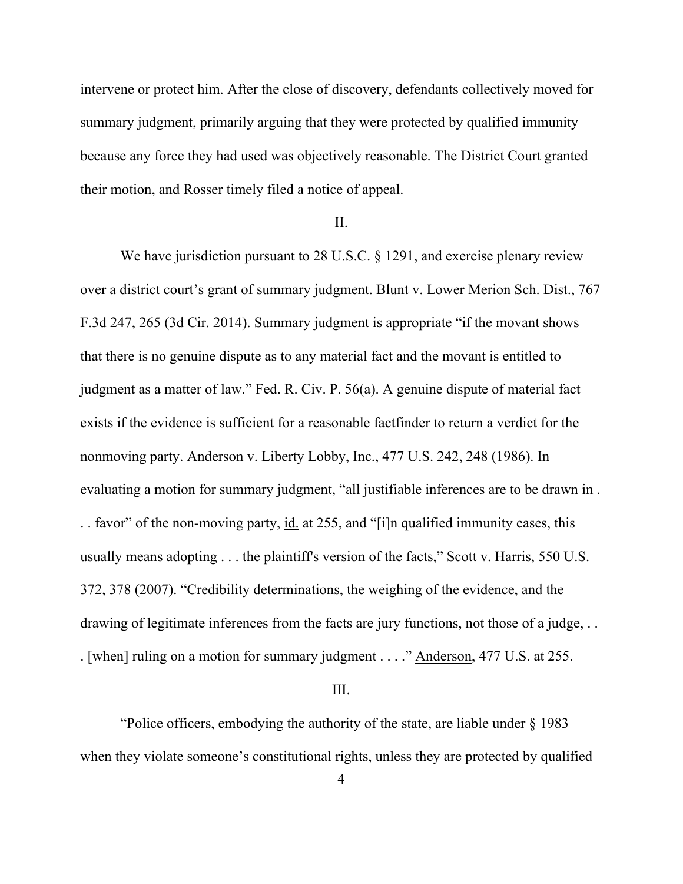intervene or protect him. After the close of discovery, defendants collectively moved for summary judgment, primarily arguing that they were protected by qualified immunity because any force they had used was objectively reasonable. The District Court granted their motion, and Rosser timely filed a notice of appeal.

#### II.

We have jurisdiction pursuant to 28 U.S.C. § 1291, and exercise plenary review over a district court's grant of summary judgment. Blunt v. Lower Merion Sch. Dist., 767 F.3d 247, 265 (3d Cir. 2014). Summary judgment is appropriate "if the movant shows that there is no genuine dispute as to any material fact and the movant is entitled to judgment as a matter of law." Fed. R. Civ. P. 56(a). A genuine dispute of material fact exists if the evidence is sufficient for a reasonable factfinder to return a verdict for the nonmoving party. Anderson v. Liberty Lobby, Inc., 477 U.S. 242, 248 (1986). In evaluating a motion for summary judgment, "all justifiable inferences are to be drawn in . . . favor" of the non-moving party, id. at 255, and "[i]n qualified immunity cases, this usually means adopting . . . the plaintiff's version of the facts," Scott v. Harris, 550 U.S. 372, 378 (2007). "Credibility determinations, the weighing of the evidence, and the drawing of legitimate inferences from the facts are jury functions, not those of a judge, ... . [when] ruling on a motion for summary judgment . . . ." Anderson, 477 U.S. at 255.

#### III.

"Police officers, embodying the authority of the state, are liable under § 1983 when they violate someone's constitutional rights, unless they are protected by qualified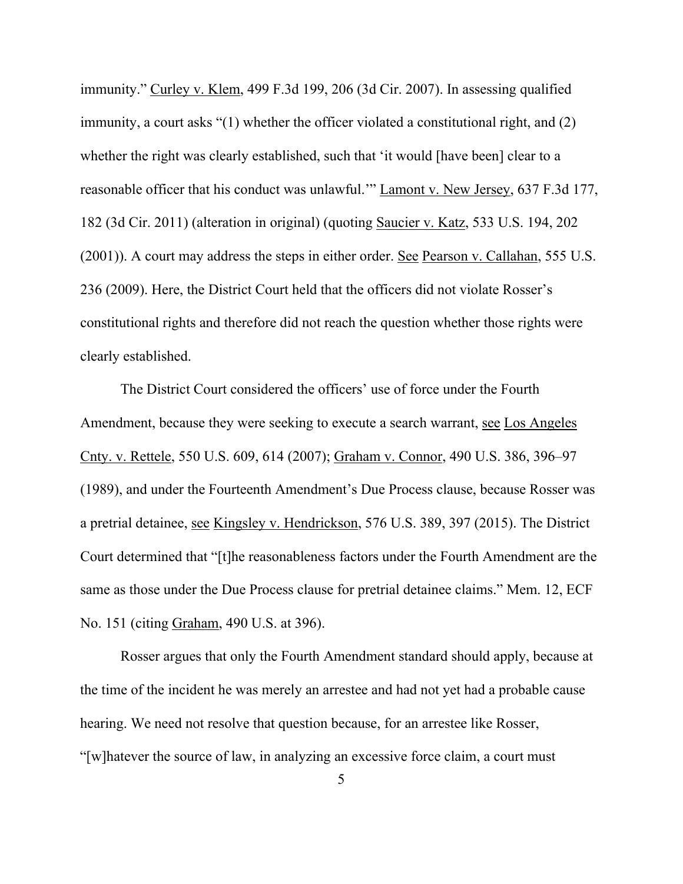immunity." Curley v. Klem, 499 F.3d 199, 206 (3d Cir. 2007). In assessing qualified immunity, a court asks "(1) whether the officer violated a constitutional right, and (2) whether the right was clearly established, such that 'it would [have been] clear to a reasonable officer that his conduct was unlawful.'" Lamont v. New Jersey, 637 F.3d 177, 182 (3d Cir. 2011) (alteration in original) (quoting Saucier v. Katz, 533 U.S. 194, 202 (2001)). A court may address the steps in either order. See Pearson v. Callahan, 555 U.S. 236 (2009). Here, the District Court held that the officers did not violate Rosser's constitutional rights and therefore did not reach the question whether those rights were clearly established.

The District Court considered the officers' use of force under the Fourth Amendment, because they were seeking to execute a search warrant, see Los Angeles Cnty. v. Rettele, 550 U.S. 609, 614 (2007); Graham v. Connor, 490 U.S. 386, 396–97 (1989), and under the Fourteenth Amendment's Due Process clause, because Rosser was a pretrial detainee, see Kingsley v. Hendrickson, 576 U.S. 389, 397 (2015). The District Court determined that "[t]he reasonableness factors under the Fourth Amendment are the same as those under the Due Process clause for pretrial detainee claims." Mem. 12, ECF No. 151 (citing Graham, 490 U.S. at 396).

Rosser argues that only the Fourth Amendment standard should apply, because at the time of the incident he was merely an arrestee and had not yet had a probable cause hearing. We need not resolve that question because, for an arrestee like Rosser, "[w]hatever the source of law, in analyzing an excessive force claim, a court must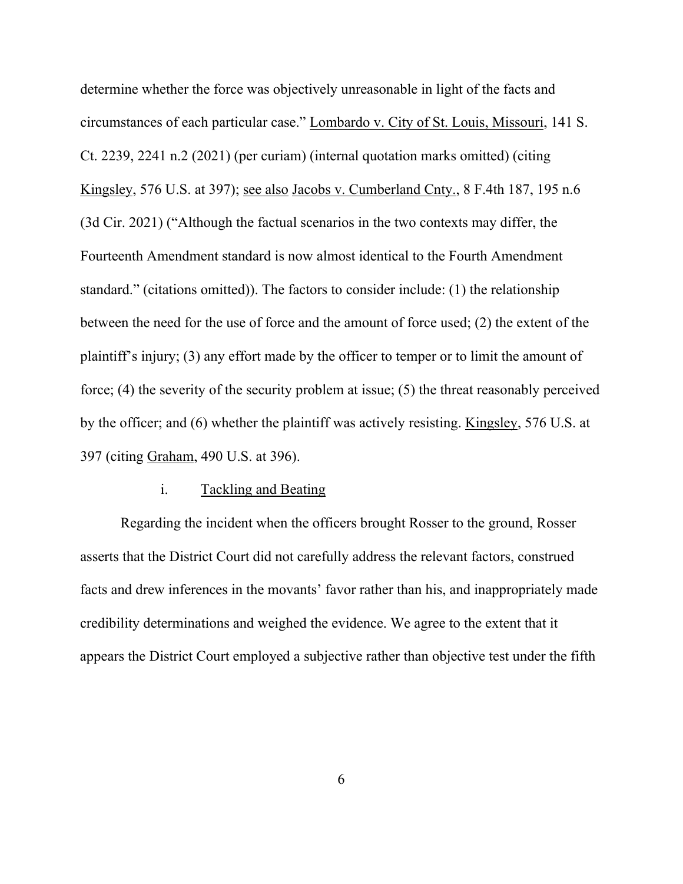determine whether the force was objectively unreasonable in light of the facts and circumstances of each particular case." Lombardo v. City of St. Louis, Missouri, 141 S. Ct. 2239, 2241 n.2 (2021) (per curiam) (internal quotation marks omitted) (citing Kingsley, 576 U.S. at 397); see also Jacobs v. Cumberland Cnty., 8 F.4th 187, 195 n.6 (3d Cir. 2021) ("Although the factual scenarios in the two contexts may differ, the Fourteenth Amendment standard is now almost identical to the Fourth Amendment standard." (citations omitted)). The factors to consider include: (1) the relationship between the need for the use of force and the amount of force used; (2) the extent of the plaintiff's injury; (3) any effort made by the officer to temper or to limit the amount of force; (4) the severity of the security problem at issue; (5) the threat reasonably perceived by the officer; and (6) whether the plaintiff was actively resisting. Kingsley, 576 U.S. at 397 (citing Graham, 490 U.S. at 396).

#### i. Tackling and Beating

Regarding the incident when the officers brought Rosser to the ground, Rosser asserts that the District Court did not carefully address the relevant factors, construed facts and drew inferences in the movants' favor rather than his, and inappropriately made credibility determinations and weighed the evidence. We agree to the extent that it appears the District Court employed a subjective rather than objective test under the fifth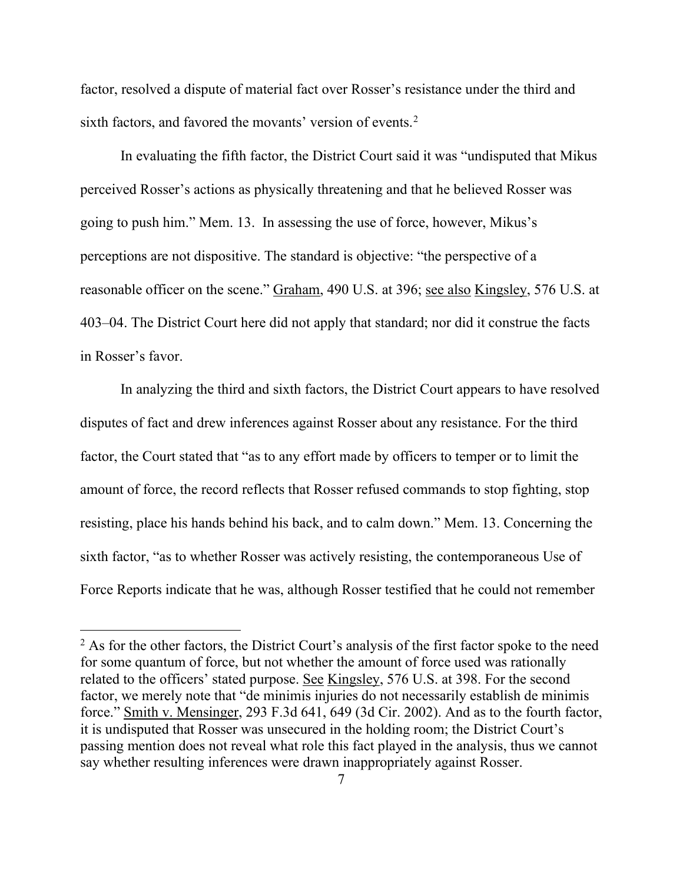factor, resolved a dispute of material fact over Rosser's resistance under the third and sixth factors, and favored the movants' version of events. 2

In evaluating the fifth factor, the District Court said it was "undisputed that Mikus perceived Rosser's actions as physically threatening and that he believed Rosser was going to push him." Mem. 13. In assessing the use of force, however, Mikus's perceptions are not dispositive. The standard is objective: "the perspective of a reasonable officer on the scene." Graham, 490 U.S. at 396; see also Kingsley, 576 U.S. at 403–04. The District Court here did not apply that standard; nor did it construe the facts in Rosser's favor.

In analyzing the third and sixth factors, the District Court appears to have resolved disputes of fact and drew inferences against Rosser about any resistance. For the third factor, the Court stated that "as to any effort made by officers to temper or to limit the amount of force, the record reflects that Rosser refused commands to stop fighting, stop resisting, place his hands behind his back, and to calm down." Mem. 13. Concerning the sixth factor, "as to whether Rosser was actively resisting, the contemporaneous Use of Force Reports indicate that he was, although Rosser testified that he could not remember

 $<sup>2</sup>$  As for the other factors, the District Court's analysis of the first factor spoke to the need</sup> for some quantum of force, but not whether the amount of force used was rationally related to the officers' stated purpose. See Kingsley, 576 U.S. at 398. For the second factor, we merely note that "de minimis injuries do not necessarily establish de minimis force." Smith v. Mensinger, 293 F.3d 641, 649 (3d Cir. 2002). And as to the fourth factor, it is undisputed that Rosser was unsecured in the holding room; the District Court's passing mention does not reveal what role this fact played in the analysis, thus we cannot say whether resulting inferences were drawn inappropriately against Rosser.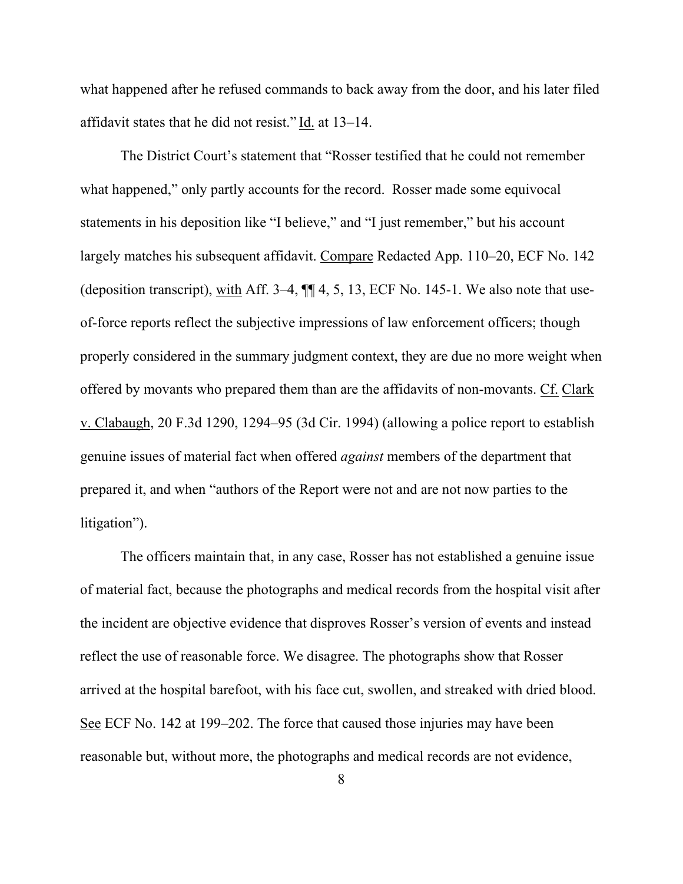what happened after he refused commands to back away from the door, and his later filed affidavit states that he did not resist." Id. at 13–14.

The District Court's statement that "Rosser testified that he could not remember what happened," only partly accounts for the record. Rosser made some equivocal statements in his deposition like "I believe," and "I just remember," but his account largely matches his subsequent affidavit. Compare Redacted App. 110–20, ECF No. 142 (deposition transcript), with Aff. 3–4, ¶¶ 4, 5, 13, ECF No. 145-1. We also note that useof-force reports reflect the subjective impressions of law enforcement officers; though properly considered in the summary judgment context, they are due no more weight when offered by movants who prepared them than are the affidavits of non-movants. Cf. Clark v. Clabaugh, 20 F.3d 1290, 1294–95 (3d Cir. 1994) (allowing a police report to establish genuine issues of material fact when offered *against* members of the department that prepared it, and when "authors of the Report were not and are not now parties to the litigation").

The officers maintain that, in any case, Rosser has not established a genuine issue of material fact, because the photographs and medical records from the hospital visit after the incident are objective evidence that disproves Rosser's version of events and instead reflect the use of reasonable force. We disagree. The photographs show that Rosser arrived at the hospital barefoot, with his face cut, swollen, and streaked with dried blood. See ECF No. 142 at 199–202. The force that caused those injuries may have been reasonable but, without more, the photographs and medical records are not evidence,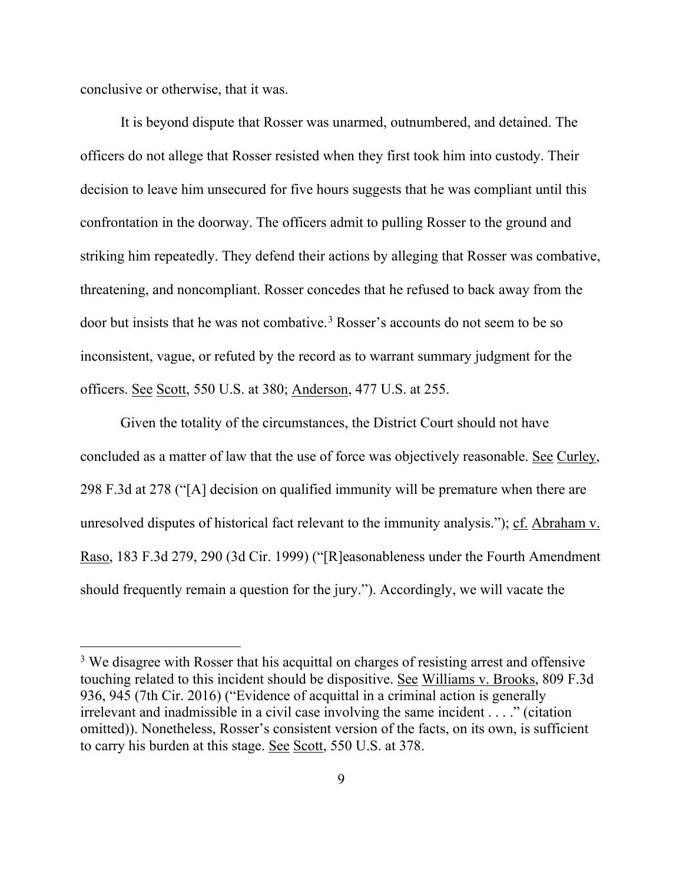conclusive or otherwise, that it was.

It is beyond dispute that Rosser was unarmed, outnumbered, and detained. The officers do not allege that Rosser resisted when they first took him into custody. Their decision to leave him unsecured for five hours suggests that he was compliant until this confrontation in the doorway. The officers admit to pulling Rosser to the ground and striking him repeatedly. They defend their actions by alleging that Rosser was combative, threatening, and noncompliant. Rosser concedes that he refused to back away from the door but insists that he was not combative. <sup>3</sup> Rosser's accounts do not seem to be so inconsistent, vague, or refuted by the record as to warrant summary judgment for the officers. See Scott, 550 U.S. at 380; Anderson, 477 U.S. at 255.

Given the totality of the circumstances, the District Court should not have concluded as a matter of law that the use of force was objectively reasonable. See Curley, 298 F.3d at 278 ("[A] decision on qualified immunity will be premature when there are unresolved disputes of historical fact relevant to the immunity analysis."); cf. Abraham v. Raso, 183 F.3d 279, 290 (3d Cir. 1999) ("[R]easonableness under the Fourth Amendment should frequently remain a question for the jury."). Accordingly, we will vacate the

<sup>&</sup>lt;sup>3</sup> We disagree with Rosser that his acquittal on charges of resisting arrest and offensive touching related to this incident should be dispositive. See Williams v. Brooks, 809 F.3d 936, 945 (7th Cir. 2016) ("Evidence of acquittal in a criminal action is generally irrelevant and inadmissible in a civil case involving the same incident . . . ." (citation omitted)). Nonetheless, Rosser's consistent version of the facts, on its own, is sufficient to carry his burden at this stage. See Scott, 550 U.S. at 378.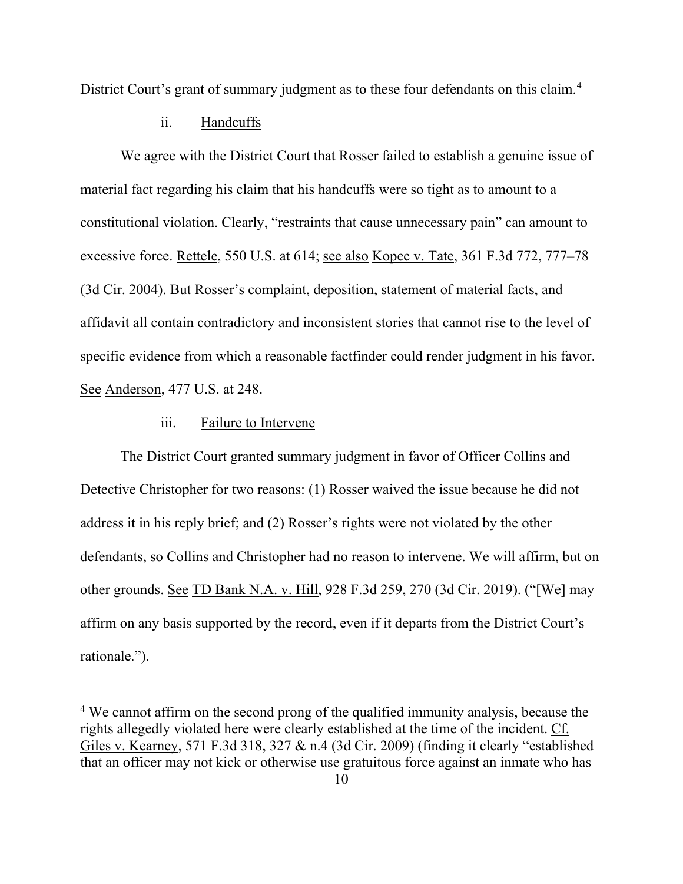District Court's grant of summary judgment as to these four defendants on this claim.<sup>4</sup>

#### ii. Handcuffs

We agree with the District Court that Rosser failed to establish a genuine issue of material fact regarding his claim that his handcuffs were so tight as to amount to a constitutional violation. Clearly, "restraints that cause unnecessary pain" can amount to excessive force. Rettele, 550 U.S. at 614; see also Kopec v. Tate, 361 F.3d 772, 777–78 (3d Cir. 2004). But Rosser's complaint, deposition, statement of material facts, and affidavit all contain contradictory and inconsistent stories that cannot rise to the level of specific evidence from which a reasonable factfinder could render judgment in his favor. See Anderson, 477 U.S. at 248.

### iii. Failure to Intervene

The District Court granted summary judgment in favor of Officer Collins and Detective Christopher for two reasons: (1) Rosser waived the issue because he did not address it in his reply brief; and (2) Rosser's rights were not violated by the other defendants, so Collins and Christopher had no reason to intervene. We will affirm, but on other grounds. See TD Bank N.A. v. Hill, 928 F.3d 259, 270 (3d Cir. 2019). ("[We] may affirm on any basis supported by the record, even if it departs from the District Court's rationale.").

<sup>&</sup>lt;sup>4</sup> We cannot affirm on the second prong of the qualified immunity analysis, because the rights allegedly violated here were clearly established at the time of the incident. Cf. Giles v. Kearney, 571 F.3d 318, 327 & n.4 (3d Cir. 2009) (finding it clearly "established that an officer may not kick or otherwise use gratuitous force against an inmate who has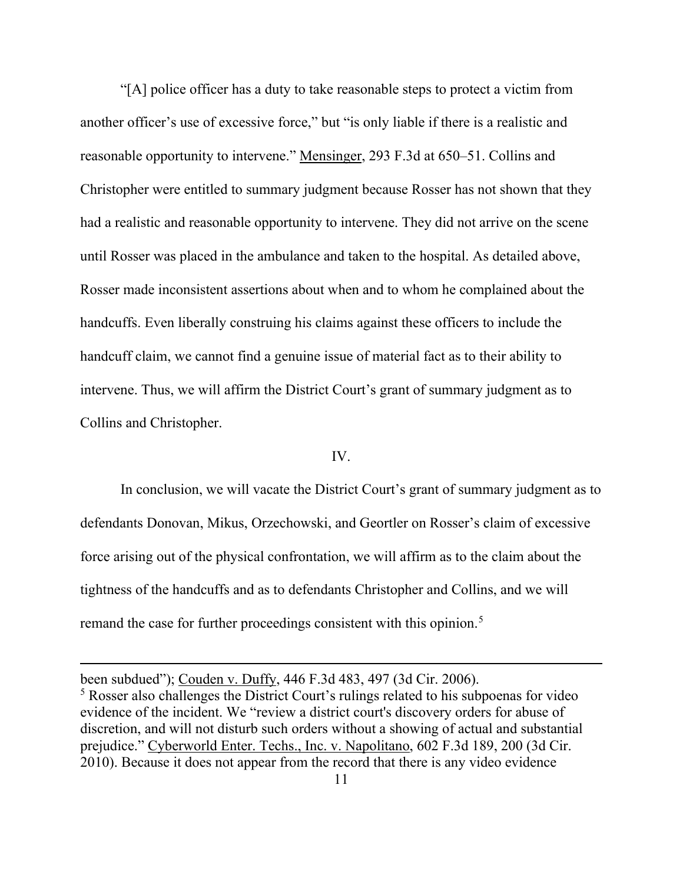"[A] police officer has a duty to take reasonable steps to protect a victim from another officer's use of excessive force," but "is only liable if there is a realistic and reasonable opportunity to intervene." Mensinger, 293 F.3d at 650–51. Collins and Christopher were entitled to summary judgment because Rosser has not shown that they had a realistic and reasonable opportunity to intervene. They did not arrive on the scene until Rosser was placed in the ambulance and taken to the hospital. As detailed above, Rosser made inconsistent assertions about when and to whom he complained about the handcuffs. Even liberally construing his claims against these officers to include the handcuff claim, we cannot find a genuine issue of material fact as to their ability to intervene. Thus, we will affirm the District Court's grant of summary judgment as to Collins and Christopher.

#### IV.

In conclusion, we will vacate the District Court's grant of summary judgment as to defendants Donovan, Mikus, Orzechowski, and Geortler on Rosser's claim of excessive force arising out of the physical confrontation, we will affirm as to the claim about the tightness of the handcuffs and as to defendants Christopher and Collins, and we will remand the case for further proceedings consistent with this opinion.<sup>5</sup>

been subdued"); Couden v. Duffy, 446 F.3d 483, 497 (3d Cir. 2006). <sup>5</sup> Rosser also challenges the District Court's rulings related to his subpoenas for video evidence of the incident. We "review a district court's discovery orders for abuse of discretion, and will not disturb such orders without a showing of actual and substantial prejudice." Cyberworld Enter. Techs., Inc. v. Napolitano, 602 F.3d 189, 200 (3d Cir. 2010). Because it does not appear from the record that there is any video evidence